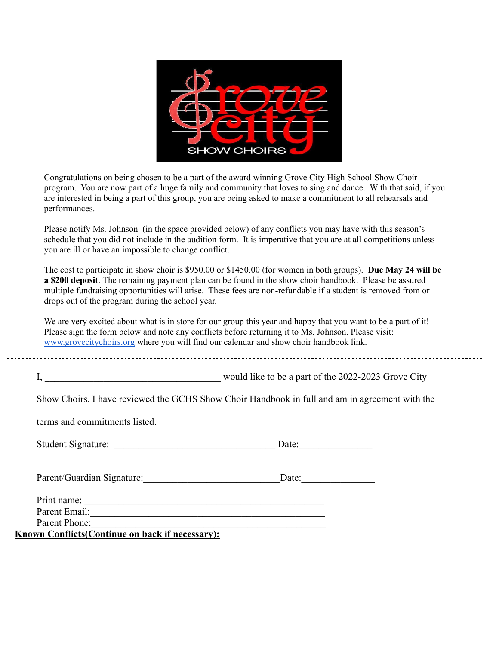

Congratulations on being chosen to be a part of the award winning Grove City High School Show Choir program. You are now part of a huge family and community that loves to sing and dance. With that said, if you are interested in being a part of this group, you are being asked to make a commitment to all rehearsals and performances.

Please notify Ms. Johnson (in the space provided below) of any conflicts you may have with this season's schedule that you did not include in the audition form. It is imperative that you are at all competitions unless you are ill or have an impossible to change conflict.

The cost to participate in show choir is \$950.00 or \$1450.00 (for women in both groups). **Due May 24 will be a \$200 deposit**. The remaining payment plan can be found in the show choir handbook. Please be assured multiple fundraising opportunities will arise. These fees are non-refundable if a student is removed from or drops out of the program during the school year.

We are very excited about what is in store for our group this year and happy that you want to be a part of it! Please sign the form below and note any conflicts before returning it to Ms. Johnson. Please visit: [www.grovecitychoirs.org](http://www.grovecitychoirs.org) where you will find our calendar and show choir handbook link.

|  | would like to be a part of the 2022-2023 Grove City |
|--|-----------------------------------------------------|
|  |                                                     |

Show Choirs. I have reviewed the GCHS Show Choir Handbook in full and am in agreement with the

terms and commitments listed.

| Student Signature: | Date: |
|--------------------|-------|
|                    |       |

Parent/Guardian Signature: Date:

| Print name:   |  |  |  |
|---------------|--|--|--|
| Parent Email: |  |  |  |
| Parent Phone: |  |  |  |

**Known Conflicts(Continue on back if necessary):**